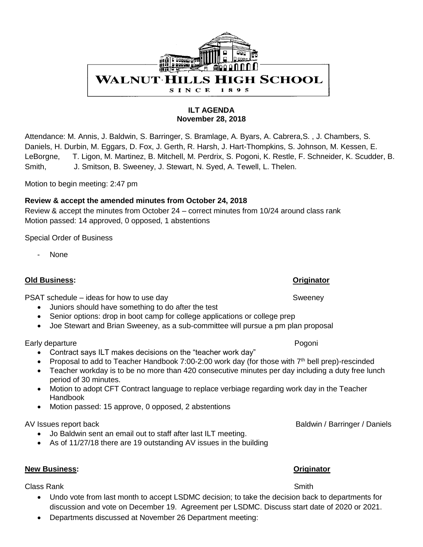

Attendance: M. Annis, J. Baldwin, S. Barringer, S. Bramlage, A. Byars, A. Cabrera,S. , J. Chambers, S. Daniels, H. Durbin, M. Eggars, D. Fox, J. Gerth, R. Harsh, J. Hart-Thompkins, S. Johnson, M. Kessen, E. LeBorgne, T. Ligon, M. Martinez, B. Mitchell, M. Perdrix, S. Pogoni, K. Restle, F. Schneider, K. Scudder, B. Smith, J. Smitson, B. Sweeney, J. Stewart, N. Syed, A. Tewell, L. Thelen.

Motion to begin meeting: 2:47 pm

## **Review & accept the amended minutes from October 24, 2018**

Review & accept the minutes from October 24 – correct minutes from 10/24 around class rank Motion passed: 14 approved, 0 opposed, 1 abstentions

Special Order of Business

None

## **Old Business: Originator**

PSAT schedule – ideas for how to use day Sweeney

- Juniors should have something to do after the test
- Senior options: drop in boot camp for college applications or college prep
- Joe Stewart and Brian Sweeney, as a sub-committee will pursue a pm plan proposal

Early departure **Post According to the Contract According to the Post According To According to the Pogoni** 

- Contract says ILT makes decisions on the "teacher work day"
- Proposal to add to Teacher Handbook 7:00-2:00 work day (for those with  $7<sup>th</sup>$  bell prep)-rescinded
- Teacher workday is to be no more than 420 consecutive minutes per day including a duty free lunch period of 30 minutes.
- Motion to adopt CFT Contract language to replace verbiage regarding work day in the Teacher Handbook
- Motion passed: 15 approve, 0 opposed, 2 abstentions

- Jo Baldwin sent an email out to staff after last ILT meeting.
- As of 11/27/18 there are 19 outstanding AV issues in the building

**New Business: Originator**

**Class Rank** Smith Smith Smith Smith Smith Smith Smith Smith Smith Smith Smith Smith Smith Smith Smith Smith Smith Smith Smith Smith Smith Smith Smith Smith Smith Smith Smith Smith Smith Smith Smith Smith Smith Smith Smith

- Undo vote from last month to accept LSDMC decision; to take the decision back to departments for discussion and vote on December 19. Agreement per LSDMC. Discuss start date of 2020 or 2021.
- Departments discussed at November 26 Department meeting:

AV Issues report back Baldwin / Baldwin / Barringer / Daniels



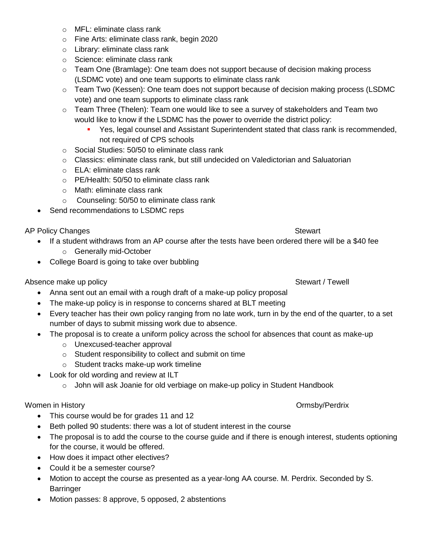- o MFL: eliminate class rank
- o Fine Arts: eliminate class rank, begin 2020
- o Library: eliminate class rank
- o Science: eliminate class rank
- o Team One (Bramlage): One team does not support because of decision making process (LSDMC vote) and one team supports to eliminate class rank
- $\circ$  Team Two (Kessen): One team does not support because of decision making process (LSDMC vote) and one team supports to eliminate class rank
- $\circ$  Team Three (Thelen): Team one would like to see a survey of stakeholders and Team two would like to know if the LSDMC has the power to override the district policy:
	- Yes, legal counsel and Assistant Superintendent stated that class rank is recommended, not required of CPS schools
- o Social Studies: 50/50 to eliminate class rank
- o Classics: eliminate class rank, but still undecided on Valedictorian and Saluatorian
- o ELA: eliminate class rank
- o PE/Health: 50/50 to eliminate class rank
- o Math: eliminate class rank
- o Counseling: 50/50 to eliminate class rank
- Send recommendations to LSDMC reps

AP Policy Changes **Stewart** Stewart Stewart **Stewart** 

- If a student withdraws from an AP course after the tests have been ordered there will be a \$40 fee o Generally mid-October
- College Board is going to take over bubbling

Absence make up policy and the stewart of the Stewart / Tewell

- Anna sent out an email with a rough draft of a make-up policy proposal
- The make-up policy is in response to concerns shared at BLT meeting
- Every teacher has their own policy ranging from no late work, turn in by the end of the quarter, to a set number of days to submit missing work due to absence.
- The proposal is to create a uniform policy across the school for absences that count as make-up
	- o Unexcused-teacher approval
	- o Student responsibility to collect and submit on time
	- o Student tracks make-up work timeline
- Look for old wording and review at ILT
	- $\circ$  John will ask Joanie for old verbiage on make-up policy in Student Handbook

Women in History **Ormsby Accounts** 2008 12:00 Normsby Ormsby Ormsby Ormsby Ormsby Ormsby Ormsby Ormsby Ormsby Ormsby Ormsby Ormsby Ormsby Ormsby Ormsby Ormsby Ormsby Ormsby Ormsby Ormsby Ormsby Ormsby Ormsby Ormsby Ormsby

- This course would be for grades 11 and 12
- Beth polled 90 students: there was a lot of student interest in the course
- The proposal is to add the course to the course guide and if there is enough interest, students optioning for the course, it would be offered.
- How does it impact other electives?
- Could it be a semester course?
- Motion to accept the course as presented as a year-long AA course. M. Perdrix. Seconded by S. **Barringer**
- Motion passes: 8 approve, 5 opposed, 2 abstentions